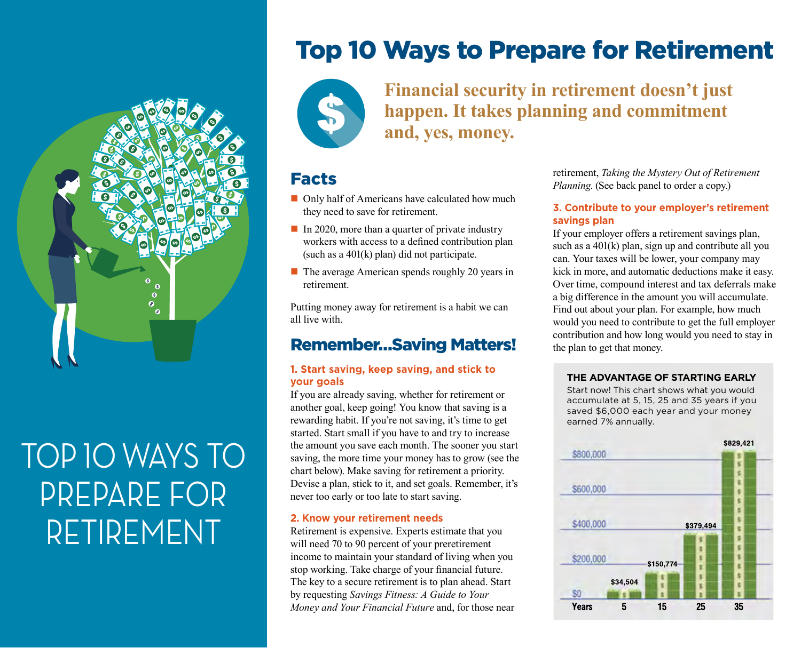

# TOP 10 WAYS TO PREPARE FOR RETIREMENT

## Top 10 Ways to Prepare for Retirement



## **Financial security in retirement doesn't just happen. It takes planning and commitment and, yes, money.**

### Facts

- $\Box$  Only half of Americans have calculated how much they need to save for retirement.
- $\blacksquare$  In 2020, more than a quarter of private industry workers with access to a defined contribution plan (such as a 401(k) plan) did not participate.
- $\blacksquare$  The average American spends roughly 20 years in retirement.

Putting money away for retirement is a habit we can all live with.

## Remember…Saving Matters!

#### **1. Start saving, keep saving, and stick to your goals**

If you are already saving, whether for retirement or another goal, keep going! You know that saving is a rewarding habit. If you're not saving, it's time to get started. Start small if you have to and try to increase the amount you save each month. The sooner you start saving, the more time your money has to grow (see the chart below). Make saving for retirement a priority. Devise a plan, stick to it, and set goals. Remember, it's never too early or too late to start saving.

#### **2. Know your retirement needs**

Retirement is expensive. Experts estimate that you will need 70 to 90 percent of your preretirement income to maintain your standard of living when you stop working. Take charge of your financial future. The key to a secure retirement is to plan ahead. Start by requesting *Savings Fitness: A Guide to Your Money and Your Financial Future* and, for those near retirement, *Taking the Mystery Out of Retirement Planning*. (See back panel to order a copy.)

#### **3. Contribute to your employer's retirement savings plan**

If your employer offers a retirement savings plan, such as a  $401(k)$  plan, sign up and contribute all you can. Your taxes will be lower, your company may kick in more, and automatic deductions make it easy. Over time, compound interest and tax deferrals make a big difference in the amount you will accumulate. Find out about your plan. For example, how much would you need to contribute to get the full employer contribution and how long would you need to stay in the plan to get that money.

#### **THE ADVANTAGE OF STARTING EARLY**

Start now! This chart shows what you would accumulate at 5, 15, 25 and 35 years if you saved \$6,000 each year and your money earned 7% annually.